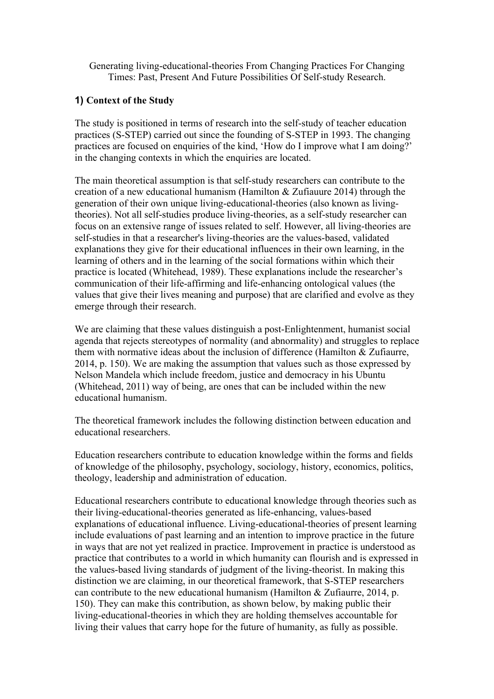Generating living-educational-theories From Changing Practices For Changing Times: Past, Present And Future Possibilities Of Self-study Research.

# **1) Context of the Study**

The study is positioned in terms of research into the self-study of teacher education practices (S-STEP) carried out since the founding of S-STEP in 1993. The changing practices are focused on enquiries of the kind, 'How do I improve what I am doing?' in the changing contexts in which the enquiries are located.

The main theoretical assumption is that self-study researchers can contribute to the creation of a new educational humanism (Hamilton & Zufiauure 2014) through the generation of their own unique living-educational-theories (also known as livingtheories). Not all self-studies produce living-theories, as a self-study researcher can focus on an extensive range of issues related to self. However, all living-theories are self-studies in that a researcher's living-theories are the values-based, validated explanations they give for their educational influences in their own learning, in the learning of others and in the learning of the social formations within which their practice is located (Whitehead, 1989). These explanations include the researcher's communication of their life-affirming and life-enhancing ontological values (the values that give their lives meaning and purpose) that are clarified and evolve as they emerge through their research.

We are claiming that these values distinguish a post-Enlightenment, humanist social agenda that rejects stereotypes of normality (and abnormality) and struggles to replace them with normative ideas about the inclusion of difference (Hamilton & Zufiaurre, 2014, p. 150). We are making the assumption that values such as those expressed by Nelson Mandela which include freedom, justice and democracy in his Ubuntu (Whitehead, 2011) way of being, are ones that can be included within the new educational humanism.

The theoretical framework includes the following distinction between education and educational researchers.

Education researchers contribute to education knowledge within the forms and fields of knowledge of the philosophy, psychology, sociology, history, economics, politics, theology, leadership and administration of education.

Educational researchers contribute to educational knowledge through theories such as their living-educational-theories generated as life-enhancing, values-based explanations of educational influence. Living-educational-theories of present learning include evaluations of past learning and an intention to improve practice in the future in ways that are not yet realized in practice. Improvement in practice is understood as practice that contributes to a world in which humanity can flourish and is expressed in the values-based living standards of judgment of the living-theorist. In making this distinction we are claiming, in our theoretical framework, that S-STEP researchers can contribute to the new educational humanism (Hamilton & Zufiaurre, 2014, p. 150). They can make this contribution, as shown below, by making public their living-educational-theories in which they are holding themselves accountable for living their values that carry hope for the future of humanity, as fully as possible.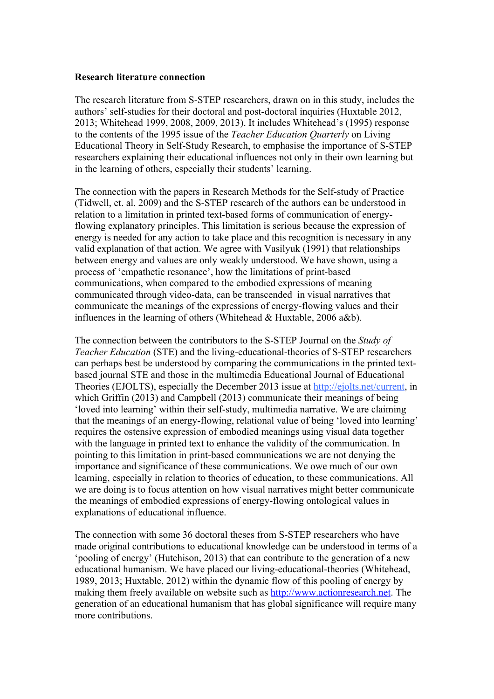#### **Research literature connection**

The research literature from S-STEP researchers, drawn on in this study, includes the authors' self-studies for their doctoral and post-doctoral inquiries (Huxtable 2012, 2013; Whitehead 1999, 2008, 2009, 2013). It includes Whitehead's (1995) response to the contents of the 1995 issue of the *Teacher Education Quarterly* on Living Educational Theory in Self-Study Research, to emphasise the importance of S-STEP researchers explaining their educational influences not only in their own learning but in the learning of others, especially their students' learning.

The connection with the papers in Research Methods for the Self-study of Practice (Tidwell, et. al. 2009) and the S-STEP research of the authors can be understood in relation to a limitation in printed text-based forms of communication of energyflowing explanatory principles. This limitation is serious because the expression of energy is needed for any action to take place and this recognition is necessary in any valid explanation of that action. We agree with Vasilyuk (1991) that relationships between energy and values are only weakly understood. We have shown, using a process of 'empathetic resonance', how the limitations of print-based communications, when compared to the embodied expressions of meaning communicated through video-data, can be transcended in visual narratives that communicate the meanings of the expressions of energy-flowing values and their influences in the learning of others (Whitehead & Huxtable, 2006 a&b).

The connection between the contributors to the S-STEP Journal on the *Study of Teacher Education* (STE) and the living-educational-theories of S-STEP researchers can perhaps best be understood by comparing the communications in the printed textbased journal STE and those in the multimedia Educational Journal of Educational Theories (EJOLTS), especially the December 2013 issue at http://ejolts.net/current, in which Griffin (2013) and Campbell (2013) communicate their meanings of being 'loved into learning' within their self-study, multimedia narrative. We are claiming that the meanings of an energy-flowing, relational value of being 'loved into learning' requires the ostensive expression of embodied meanings using visual data together with the language in printed text to enhance the validity of the communication. In pointing to this limitation in print-based communications we are not denying the importance and significance of these communications. We owe much of our own learning, especially in relation to theories of education, to these communications. All we are doing is to focus attention on how visual narratives might better communicate the meanings of embodied expressions of energy-flowing ontological values in explanations of educational influence.

The connection with some 36 doctoral theses from S-STEP researchers who have made original contributions to educational knowledge can be understood in terms of a 'pooling of energy' (Hutchison, 2013) that can contribute to the generation of a new educational humanism. We have placed our living-educational-theories (Whitehead, 1989, 2013; Huxtable, 2012) within the dynamic flow of this pooling of energy by making them freely available on website such as http://www.actionresearch.net. The generation of an educational humanism that has global significance will require many more contributions.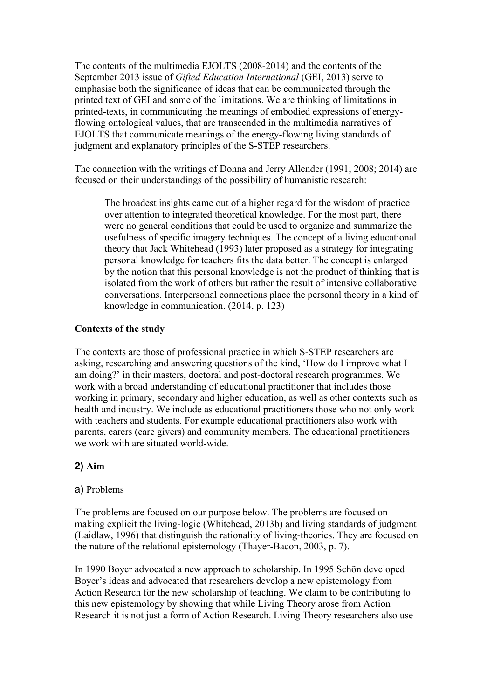The contents of the multimedia EJOLTS (2008-2014) and the contents of the September 2013 issue of *Gifted Education International* (GEI, 2013) serve to emphasise both the significance of ideas that can be communicated through the printed text of GEI and some of the limitations. We are thinking of limitations in printed-texts, in communicating the meanings of embodied expressions of energyflowing ontological values, that are transcended in the multimedia narratives of EJOLTS that communicate meanings of the energy-flowing living standards of judgment and explanatory principles of the S-STEP researchers.

The connection with the writings of Donna and Jerry Allender (1991; 2008; 2014) are focused on their understandings of the possibility of humanistic research:

The broadest insights came out of a higher regard for the wisdom of practice over attention to integrated theoretical knowledge. For the most part, there were no general conditions that could be used to organize and summarize the usefulness of specific imagery techniques. The concept of a living educational theory that Jack Whitehead (1993) later proposed as a strategy for integrating personal knowledge for teachers fits the data better. The concept is enlarged by the notion that this personal knowledge is not the product of thinking that is isolated from the work of others but rather the result of intensive collaborative conversations. Interpersonal connections place the personal theory in a kind of knowledge in communication. (2014, p. 123)

### **Contexts of the study**

The contexts are those of professional practice in which S-STEP researchers are asking, researching and answering questions of the kind, 'How do I improve what I am doing?' in their masters, doctoral and post-doctoral research programmes. We work with a broad understanding of educational practitioner that includes those working in primary, secondary and higher education, as well as other contexts such as health and industry. We include as educational practitioners those who not only work with teachers and students. For example educational practitioners also work with parents, carers (care givers) and community members. The educational practitioners we work with are situated world-wide.

### **2) Aim**

### a) Problems

The problems are focused on our purpose below. The problems are focused on making explicit the living-logic (Whitehead, 2013b) and living standards of judgment (Laidlaw, 1996) that distinguish the rationality of living-theories. They are focused on the nature of the relational epistemology (Thayer-Bacon, 2003, p. 7).

In 1990 Boyer advocated a new approach to scholarship. In 1995 Schön developed Boyer's ideas and advocated that researchers develop a new epistemology from Action Research for the new scholarship of teaching. We claim to be contributing to this new epistemology by showing that while Living Theory arose from Action Research it is not just a form of Action Research. Living Theory researchers also use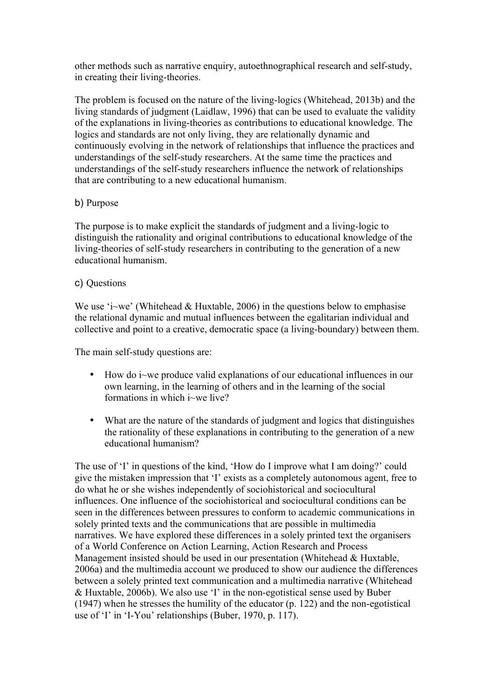other methods such as narrative enquiry, autoethnographical research and self-study, in creating their living-theories.

The problem is focused on the nature of the living-logics (Whitehead, 2013b) and the living standards of judgment (Laidlaw, 1996) that can be used to evaluate the validity of the explanations in living-theories as contributions to educational knowledge. The logics and standards are not only living, they are relationally dynamic and continuously evolving in the network of relationships that influence the practices and understandings of the self-study researchers. At the same time the practices and understandings of the self-study researchers influence the network of relationships that are contributing to a new educational humanism.

### b) Purpose

The purpose is to make explicit the standards of judgment and a living-logic to distinguish the rationality and original contributions to educational knowledge of the living-theories of self-study researchers in contributing to the generation of a new educational humanism.

### c) Questions

We use 'i~we' (Whitehead & Huxtable, 2006) in the questions below to emphasise the relational dynamic and mutual influences between the egalitarian individual and collective and point to a creative, democratic space (a living-boundary) between them.

The main self-study questions are:

- How do i~we produce valid explanations of our educational influences in our own learning, in the learning of others and in the learning of the social formations in which i~we live?
- What are the nature of the standards of judgment and logics that distinguishes the rationality of these explanations in contributing to the generation of a new educational humanism?

The use of 'I' in questions of the kind, 'How do I improve what I am doing?' could give the mistaken impression that 'I' exists as a completely autonomous agent, free to do what he or she wishes independently of sociohistorical and sociocultural influences. One influence of the sociohistorical and sociocultural conditions can be seen in the differences between pressures to conform to academic communications in solely printed texts and the communications that are possible in multimedia narratives. We have explored these differences in a solely printed text the organisers of a World Conference on Action Learning, Action Research and Process Management insisted should be used in our presentation (Whitehead & Huxtable, 2006a) and the multimedia account we produced to show our audience the differences between a solely printed text communication and a multimedia narrative (Whitehead & Huxtable, 2006b). We also use 'I' in the non-egotistical sense used by Buber (1947) when he stresses the humility of the educator (p. 122) and the non-egotistical use of 'I' in 'I-You' relationships (Buber, 1970, p. 117).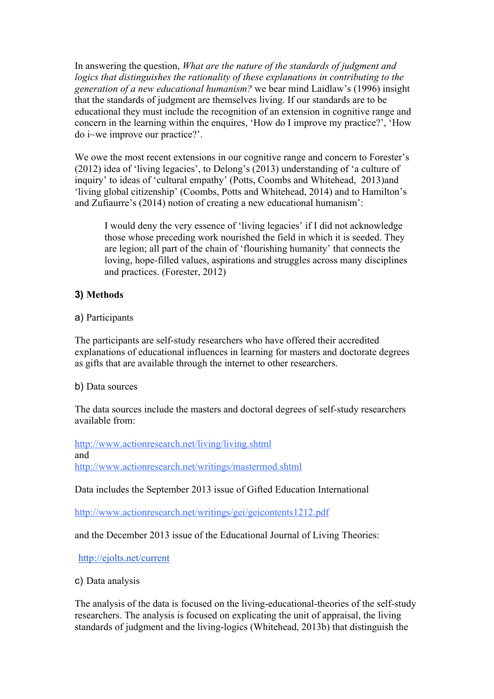In answering the question, *What are the nature of the standards of judgment and logics that distinguishes the rationality of these explanations in contributing to the generation of a new educational humanism?* we bear mind Laidlaw's (1996) insight that the standards of judgment are themselves living. If our standards are to be educational they must include the recognition of an extension in cognitive range and concern in the learning within the enquires, 'How do I improve my practice?', 'How do i~we improve our practice?'.

We owe the most recent extensions in our cognitive range and concern to Forester's (2012) idea of 'living legacies', to Delong's (2013) understanding of 'a culture of inquiry' to ideas of 'cultural empathy' (Potts, Coombs and Whitehead, 2013)and 'living global citizenship' (Coombs, Potts and Whitehead, 2014) and to Hamilton's and Zufiaurre's (2014) notion of creating a new educational humanism':

I would deny the very essence of 'living legacies' if I did not acknowledge those whose preceding work nourished the field in which it is seeded. They are legion; all part of the chain of 'flourishing humanity' that connects the loving, hope-filled values, aspirations and struggles across many disciplines and practices. (Forester, 2012)

# **3) Methods**

a) Participants

The participants are self-study researchers who have offered their accredited explanations of educational influences in learning for masters and doctorate degrees as gifts that are available through the internet to other researchers.

b) Data sources

The data sources include the masters and doctoral degrees of self-study researchers available from:

http://www.actionresearch.net/living/living.shtml and http://www.actionresearch.net/writings/mastermod.shtml

Data includes the September 2013 issue of Gifted Education International

http://www.actionresearch.net/writings/gei/geicontents1212.pdf

and the December 2013 issue of the Educational Journal of Living Theories:

http://ejolts.net/current

c) Data analysis

The analysis of the data is focused on the living-educational-theories of the self-study researchers. The analysis is focused on explicating the unit of appraisal, the living standards of judgment and the living-logics (Whitehead, 2013b) that distinguish the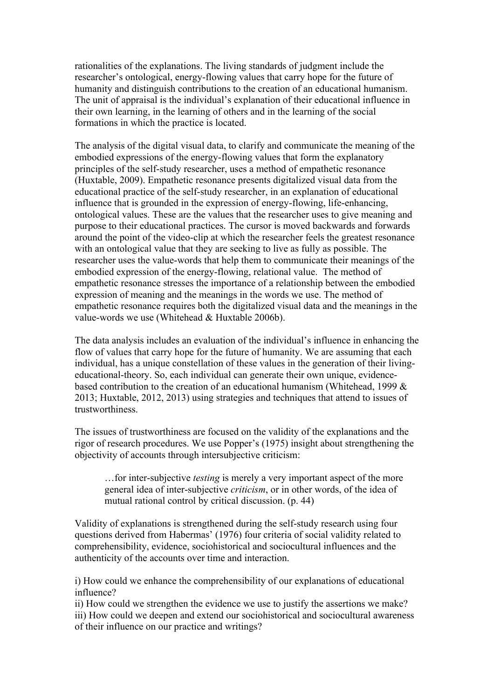rationalities of the explanations. The living standards of judgment include the researcher's ontological, energy-flowing values that carry hope for the future of humanity and distinguish contributions to the creation of an educational humanism. The unit of appraisal is the individual's explanation of their educational influence in their own learning, in the learning of others and in the learning of the social formations in which the practice is located.

The analysis of the digital visual data, to clarify and communicate the meaning of the embodied expressions of the energy-flowing values that form the explanatory principles of the self-study researcher, uses a method of empathetic resonance (Huxtable, 2009). Empathetic resonance presents digitalized visual data from the educational practice of the self-study researcher, in an explanation of educational influence that is grounded in the expression of energy-flowing, life-enhancing, ontological values. These are the values that the researcher uses to give meaning and purpose to their educational practices. The cursor is moved backwards and forwards around the point of the video-clip at which the researcher feels the greatest resonance with an ontological value that they are seeking to live as fully as possible. The researcher uses the value-words that help them to communicate their meanings of the embodied expression of the energy-flowing, relational value. The method of empathetic resonance stresses the importance of a relationship between the embodied expression of meaning and the meanings in the words we use. The method of empathetic resonance requires both the digitalized visual data and the meanings in the value-words we use (Whitehead & Huxtable 2006b).

The data analysis includes an evaluation of the individual's influence in enhancing the flow of values that carry hope for the future of humanity. We are assuming that each individual, has a unique constellation of these values in the generation of their livingeducational-theory. So, each individual can generate their own unique, evidencebased contribution to the creation of an educational humanism (Whitehead, 1999 & 2013; Huxtable, 2012, 2013) using strategies and techniques that attend to issues of trustworthiness.

The issues of trustworthiness are focused on the validity of the explanations and the rigor of research procedures. We use Popper's (1975) insight about strengthening the objectivity of accounts through intersubjective criticism:

…for inter-subjective *testing* is merely a very important aspect of the more general idea of inter-subjective *criticism*, or in other words, of the idea of mutual rational control by critical discussion. (p. 44)

Validity of explanations is strengthened during the self-study research using four questions derived from Habermas' (1976) four criteria of social validity related to comprehensibility, evidence, sociohistorical and sociocultural influences and the authenticity of the accounts over time and interaction.

i) How could we enhance the comprehensibility of our explanations of educational influence?

ii) How could we strengthen the evidence we use to justify the assertions we make? iii) How could we deepen and extend our sociohistorical and sociocultural awareness of their influence on our practice and writings?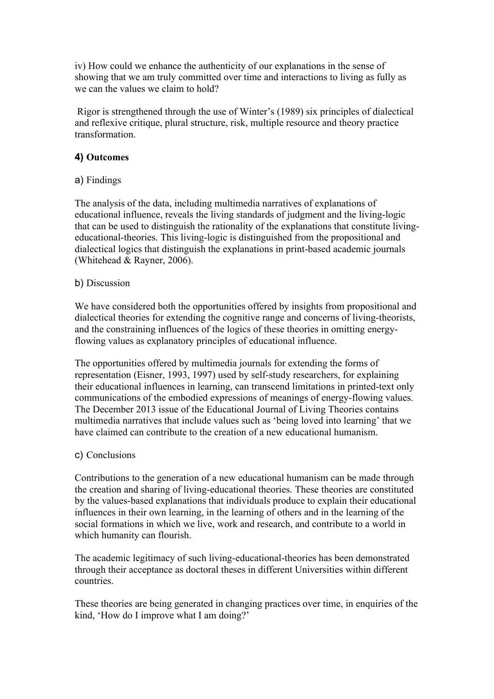iv) How could we enhance the authenticity of our explanations in the sense of showing that we am truly committed over time and interactions to living as fully as we can the values we claim to hold?

 Rigor is strengthened through the use of Winter's (1989) six principles of dialectical and reflexive critique, plural structure, risk, multiple resource and theory practice transformation.

# **4) Outcomes**

# a) Findings

The analysis of the data, including multimedia narratives of explanations of educational influence, reveals the living standards of judgment and the living-logic that can be used to distinguish the rationality of the explanations that constitute livingeducational-theories. This living-logic is distinguished from the propositional and dialectical logics that distinguish the explanations in print-based academic journals (Whitehead & Rayner, 2006).

# b) Discussion

We have considered both the opportunities offered by insights from propositional and dialectical theories for extending the cognitive range and concerns of living-theorists, and the constraining influences of the logics of these theories in omitting energyflowing values as explanatory principles of educational influence.

The opportunities offered by multimedia journals for extending the forms of representation (Eisner, 1993, 1997) used by self-study researchers, for explaining their educational influences in learning, can transcend limitations in printed-text only communications of the embodied expressions of meanings of energy-flowing values. The December 2013 issue of the Educational Journal of Living Theories contains multimedia narratives that include values such as 'being loved into learning' that we have claimed can contribute to the creation of a new educational humanism.

# c) Conclusions

Contributions to the generation of a new educational humanism can be made through the creation and sharing of living-educational theories. These theories are constituted by the values-based explanations that individuals produce to explain their educational influences in their own learning, in the learning of others and in the learning of the social formations in which we live, work and research, and contribute to a world in which humanity can flourish.

The academic legitimacy of such living-educational-theories has been demonstrated through their acceptance as doctoral theses in different Universities within different countries.

These theories are being generated in changing practices over time, in enquiries of the kind, 'How do I improve what I am doing?'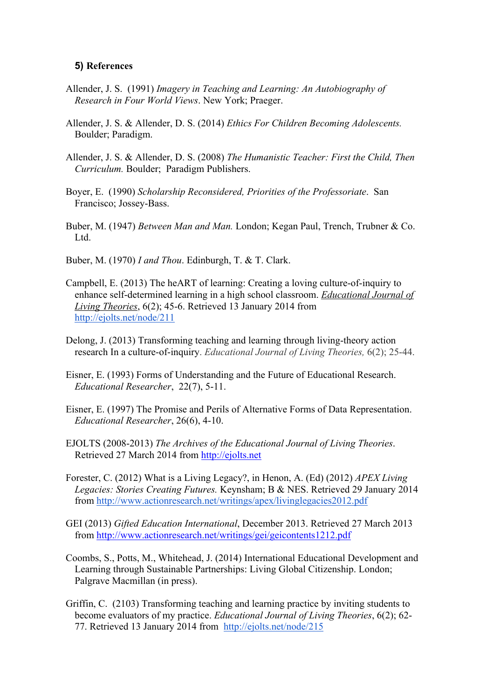#### **5) References**

- Allender, J. S. (1991) *Imagery in Teaching and Learning: An Autobiography of Research in Four World Views*. New York; Praeger.
- Allender, J. S. & Allender, D. S. (2014) *Ethics For Children Becoming Adolescents.* Boulder; Paradigm.
- Allender, J. S. & Allender, D. S. (2008) *The Humanistic Teacher: First the Child, Then Curriculum.* Boulder; Paradigm Publishers.
- Boyer, E. (1990) *Scholarship Reconsidered, Priorities of the Professoriate*. San Francisco; Jossey-Bass.
- Buber, M. (1947) *Between Man and Man.* London; Kegan Paul, Trench, Trubner & Co. Ltd.
- Buber, M. (1970) *I and Thou*. Edinburgh, T. & T. Clark.
- Campbell, E. (2013) The heART of learning: Creating a loving culture-of-inquiry to enhance self-determined learning in a high school classroom. *Educational Journal of Living Theories*, 6(2); 45-6. Retrieved 13 January 2014 from http://ejolts.net/node/211
- Delong, J. (2013) Transforming teaching and learning through living-theory action research In a culture-of-inquiry. *Educational Journal of Living Theories,* 6(2); 25-44.
- Eisner, E. (1993) Forms of Understanding and the Future of Educational Research. *Educational Researcher*, 22(7), 5-11.
- Eisner, E. (1997) The Promise and Perils of Alternative Forms of Data Representation. *Educational Researcher*, 26(6), 4-10.
- EJOLTS (2008-2013) *The Archives of the Educational Journal of Living Theories*. Retrieved 27 March 2014 from http://ejolts.net
- Forester, C. (2012) What is a Living Legacy?, in Henon, A. (Ed) (2012) *APEX Living Legacies: Stories Creating Futures.* Keynsham; B & NES. Retrieved 29 January 2014 from http://www.actionresearch.net/writings/apex/livinglegacies2012.pdf
- GEI (2013) *Gifted Education International*, December 2013. Retrieved 27 March 2013 from http://www.actionresearch.net/writings/gei/geicontents1212.pdf
- Coombs, S., Potts, M., Whitehead, J. (2014) International Educational Development and Learning through Sustainable Partnerships: Living Global Citizenship. London; Palgrave Macmillan (in press).
- Griffin, C. (2103) Transforming teaching and learning practice by inviting students to become evaluators of my practice. *Educational Journal of Living Theories*, 6(2); 62- 77. Retrieved 13 January 2014 from http://ejolts.net/node/215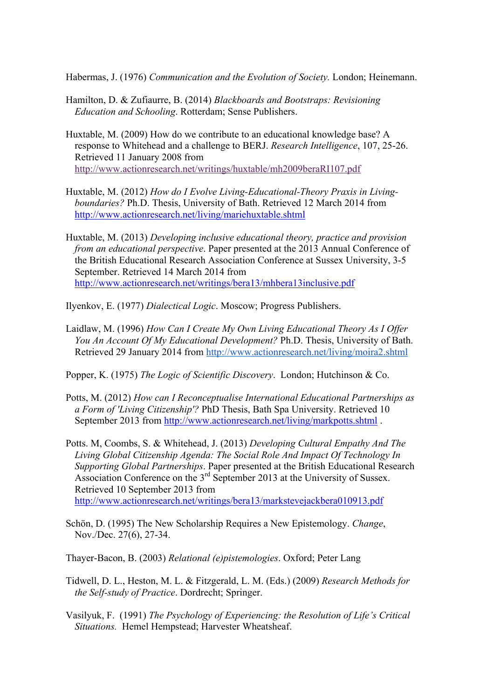Habermas, J. (1976) *Communication and the Evolution of Society.* London; Heinemann.

- Hamilton, D. & Zufiaurre, B. (2014) *Blackboards and Bootstraps: Revisioning Education and Schooling*. Rotterdam; Sense Publishers.
- Huxtable, M. (2009) How do we contribute to an educational knowledge base? A response to Whitehead and a challenge to BERJ. *Research Intelligence*, 107, 25-26. Retrieved 11 January 2008 from http://www.actionresearch.net/writings/huxtable/mh2009beraRI107.pdf
- Huxtable, M. (2012) *How do I Evolve Living-Educational-Theory Praxis in Livingboundaries?* Ph.D. Thesis, University of Bath. Retrieved 12 March 2014 from http://www.actionresearch.net/living/mariehuxtable.shtml
- Huxtable, M. (2013) *Developing inclusive educational theory, practice and provision from an educational perspective*. Paper presented at the 2013 Annual Conference of the British Educational Research Association Conference at Sussex University, 3-5 September. Retrieved 14 March 2014 from http://www.actionresearch.net/writings/bera13/mhbera13inclusive.pdf

Ilyenkov, E. (1977) *Dialectical Logic*. Moscow; Progress Publishers.

Laidlaw, M. (1996) *How Can I Create My Own Living Educational Theory As I Offer You An Account Of My Educational Development?* Ph.D. Thesis, University of Bath. Retrieved 29 January 2014 from http://www.actionresearch.net/living/moira2.shtml

Popper, K. (1975) *The Logic of Scientific Discovery*. London; Hutchinson & Co.

- Potts, M. (2012) *How can I Reconceptualise International Educational Partnerships as a Form of 'Living Citizenship'?* PhD Thesis, Bath Spa University. Retrieved 10 September 2013 from http://www.actionresearch.net/living/markpotts.shtml .
- Potts. M, Coombs, S. & Whitehead, J. (2013) *Developing Cultural Empathy And The Living Global Citizenship Agenda: The Social Role And Impact Of Technology In Supporting Global Partnerships*. Paper presented at the British Educational Research Association Conference on the 3rd September 2013 at the University of Sussex. Retrieved 10 September 2013 from http://www.actionresearch.net/writings/bera13/markstevejackbera010913.pdf
- Schön, D. (1995) The New Scholarship Requires a New Epistemology. *Change*, Nov./Dec. 27(6), 27-34.

Thayer-Bacon, B. (2003) *Relational (e)pistemologies*. Oxford; Peter Lang

- Tidwell, D. L., Heston, M. L. & Fitzgerald, L. M. (Eds.) (2009) *Research Methods for the Self-study of Practice*. Dordrecht; Springer.
- Vasilyuk, F. (1991) *The Psychology of Experiencing: the Resolution of Life's Critical Situations.* Hemel Hempstead; Harvester Wheatsheaf.